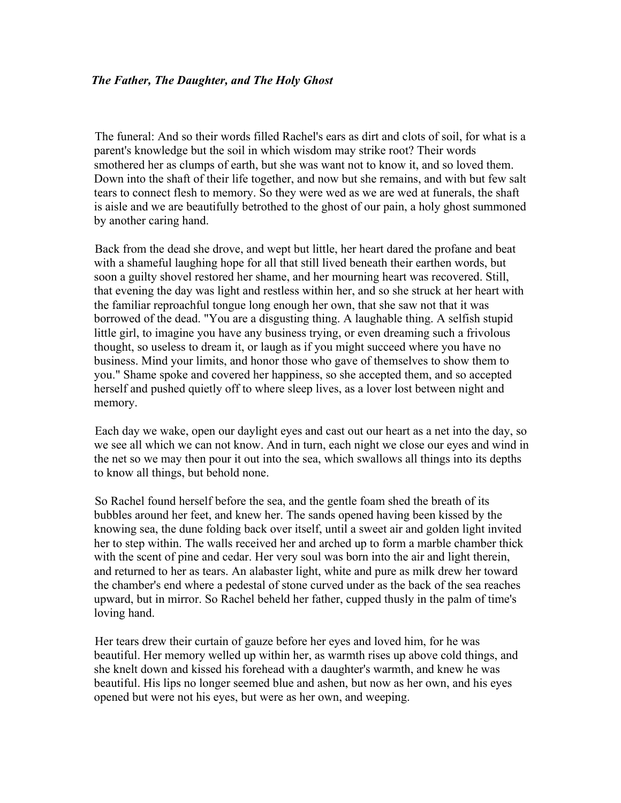## *The Father, The Daughter, and The Holy Ghost*

The funeral: And so their words filled Rachel's ears as dirt and clots of soil, for what is a parent's knowledge but the soil in which wisdom may strike root? Their words smothered her as clumps of earth, but she was want not to know it, and so loved them. Down into the shaft of their life together, and now but she remains, and with but few salt tears to connect flesh to memory. So they were wed as we are wed at funerals, the shaft is aisle and we are beautifully betrothed to the ghost of our pain, a holy ghost summoned by another caring hand.

Back from the dead she drove, and wept but little, her heart dared the profane and beat with a shameful laughing hope for all that still lived beneath their earthen words, but soon a guilty shovel restored her shame, and her mourning heart was recovered. Still, that evening the day was light and restless within her, and so she struck at her heart with the familiar reproachful tongue long enough her own, that she saw not that it was borrowed of the dead. "You are a disgusting thing. A laughable thing. A selfish stupid little girl, to imagine you have any business trying, or even dreaming such a frivolous thought, so useless to dream it, or laugh as if you might succeed where you have no business. Mind your limits, and honor those who gave of themselves to show them to you." Shame spoke and covered her happiness, so she accepted them, and so accepted herself and pushed quietly off to where sleep lives, as a lover lost between night and memory.

Each day we wake, open our daylight eyes and cast out our heart as a net into the day, so we see all which we can not know. And in turn, each night we close our eyes and wind in the net so we may then pour it out into the sea, which swallows all things into its depths to know all things, but behold none.

So Rachel found herself before the sea, and the gentle foam shed the breath of its bubbles around her feet, and knew her. The sands opened having been kissed by the knowing sea, the dune folding back over itself, until a sweet air and golden light invited her to step within. The walls received her and arched up to form a marble chamber thick with the scent of pine and cedar. Her very soul was born into the air and light therein, and returned to her as tears. An alabaster light, white and pure as milk drew her toward the chamber's end where a pedestal of stone curved under as the back of the sea reaches upward, but in mirror. So Rachel beheld her father, cupped thusly in the palm of time's loving hand.

Her tears drew their curtain of gauze before her eyes and loved him, for he was beautiful. Her memory welled up within her, as warmth rises up above cold things, and she knelt down and kissed his forehead with a daughter's warmth, and knew he was beautiful. His lips no longer seemed blue and ashen, but now as her own, and his eyes opened but were not his eyes, but were as her own, and weeping.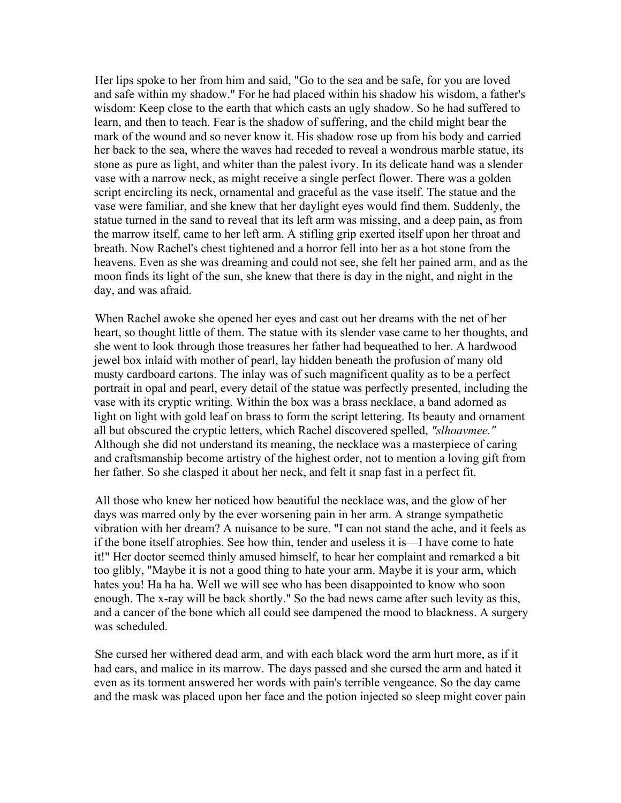Her lips spoke to her from him and said, "Go to the sea and be safe, for you are loved and safe within my shadow." For he had placed within his shadow his wisdom, a father's wisdom: Keep close to the earth that which casts an ugly shadow. So he had suffered to learn, and then to teach. Fear is the shadow of suffering, and the child might bear the mark of the wound and so never know it. His shadow rose up from his body and carried her back to the sea, where the waves had receded to reveal a wondrous marble statue, its stone as pure as light, and whiter than the palest ivory. In its delicate hand was a slender vase with a narrow neck, as might receive a single perfect flower. There was a golden script encircling its neck, ornamental and graceful as the vase itself. The statue and the vase were familiar, and she knew that her daylight eyes would find them. Suddenly, the statue turned in the sand to reveal that its left arm was missing, and a deep pain, as from the marrow itself, came to her left arm. A stifling grip exerted itself upon her throat and breath. Now Rachel's chest tightened and a horror fell into her as a hot stone from the heavens. Even as she was dreaming and could not see, she felt her pained arm, and as the moon finds its light of the sun, she knew that there is day in the night, and night in the day, and was afraid.

When Rachel awoke she opened her eyes and cast out her dreams with the net of her heart, so thought little of them. The statue with its slender vase came to her thoughts, and she went to look through those treasures her father had bequeathed to her. A hardwood jewel box inlaid with mother of pearl, lay hidden beneath the profusion of many old musty cardboard cartons. The inlay was of such magnificent quality as to be a perfect portrait in opal and pearl, every detail of the statue was perfectly presented, including the vase with its cryptic writing. Within the box was a brass necklace, a band adorned as light on light with gold leaf on brass to form the script lettering. Its beauty and ornament all but obscured the cryptic letters, which Rachel discovered spelled, *"slhoavmee."*  Although she did not understand its meaning, the necklace was a masterpiece of caring and craftsmanship become artistry of the highest order, not to mention a loving gift from her father. So she clasped it about her neck, and felt it snap fast in a perfect fit.

All those who knew her noticed how beautiful the necklace was, and the glow of her days was marred only by the ever worsening pain in her arm. A strange sympathetic vibration with her dream? A nuisance to be sure. "I can not stand the ache, and it feels as if the bone itself atrophies. See how thin, tender and useless it is––I have come to hate it!" Her doctor seemed thinly amused himself, to hear her complaint and remarked a bit too glibly, "Maybe it is not a good thing to hate your arm. Maybe it is your arm, which hates you! Ha ha ha. Well we will see who has been disappointed to know who soon enough. The x-ray will be back shortly." So the bad news came after such levity as this, and a cancer of the bone which all could see dampened the mood to blackness. A surgery was scheduled.

She cursed her withered dead arm, and with each black word the arm hurt more, as if it had ears, and malice in its marrow. The days passed and she cursed the arm and hated it even as its torment answered her words with pain's terrible vengeance. So the day came and the mask was placed upon her face and the potion injected so sleep might cover pain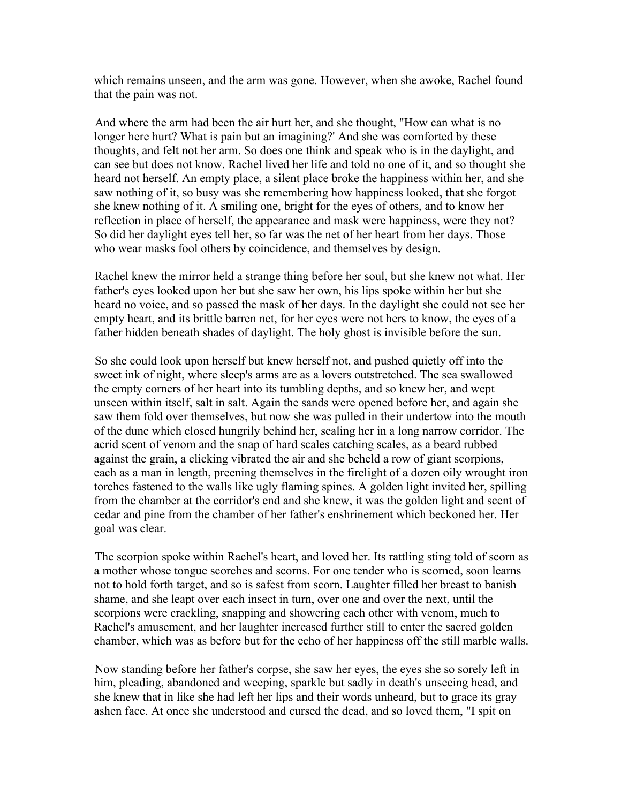which remains unseen, and the arm was gone. However, when she awoke, Rachel found that the pain was not.

And where the arm had been the air hurt her, and she thought, "How can what is no longer here hurt? What is pain but an imagining?' And she was comforted by these thoughts, and felt not her arm. So does one think and speak who is in the daylight, and can see but does not know. Rachel lived her life and told no one of it, and so thought she heard not herself. An empty place, a silent place broke the happiness within her, and she saw nothing of it, so busy was she remembering how happiness looked, that she forgot she knew nothing of it. A smiling one, bright for the eyes of others, and to know her reflection in place of herself, the appearance and mask were happiness, were they not? So did her daylight eyes tell her, so far was the net of her heart from her days. Those who wear masks fool others by coincidence, and themselves by design.

Rachel knew the mirror held a strange thing before her soul, but she knew not what. Her father's eyes looked upon her but she saw her own, his lips spoke within her but she heard no voice, and so passed the mask of her days. In the daylight she could not see her empty heart, and its brittle barren net, for her eyes were not hers to know, the eyes of a father hidden beneath shades of daylight. The holy ghost is invisible before the sun.

So she could look upon herself but knew herself not, and pushed quietly off into the sweet ink of night, where sleep's arms are as a lovers outstretched. The sea swallowed the empty corners of her heart into its tumbling depths, and so knew her, and wept unseen within itself, salt in salt. Again the sands were opened before her, and again she saw them fold over themselves, but now she was pulled in their undertow into the mouth of the dune which closed hungrily behind her, sealing her in a long narrow corridor. The acrid scent of venom and the snap of hard scales catching scales, as a beard rubbed against the grain, a clicking vibrated the air and she beheld a row of giant scorpions, each as a man in length, preening themselves in the firelight of a dozen oily wrought iron torches fastened to the walls like ugly flaming spines. A golden light invited her, spilling from the chamber at the corridor's end and she knew, it was the golden light and scent of cedar and pine from the chamber of her father's enshrinement which beckoned her. Her goal was clear.

The scorpion spoke within Rachel's heart, and loved her. Its rattling sting told of scorn as a mother whose tongue scorches and scorns. For one tender who is scorned, soon learns not to hold forth target, and so is safest from scorn. Laughter filled her breast to banish shame, and she leapt over each insect in turn, over one and over the next, until the scorpions were crackling, snapping and showering each other with venom, much to Rachel's amusement, and her laughter increased further still to enter the sacred golden chamber, which was as before but for the echo of her happiness off the still marble walls.

Now standing before her father's corpse, she saw her eyes, the eyes she so sorely left in him, pleading, abandoned and weeping, sparkle but sadly in death's unseeing head, and she knew that in like she had left her lips and their words unheard, but to grace its gray ashen face. At once she understood and cursed the dead, and so loved them, "I spit on